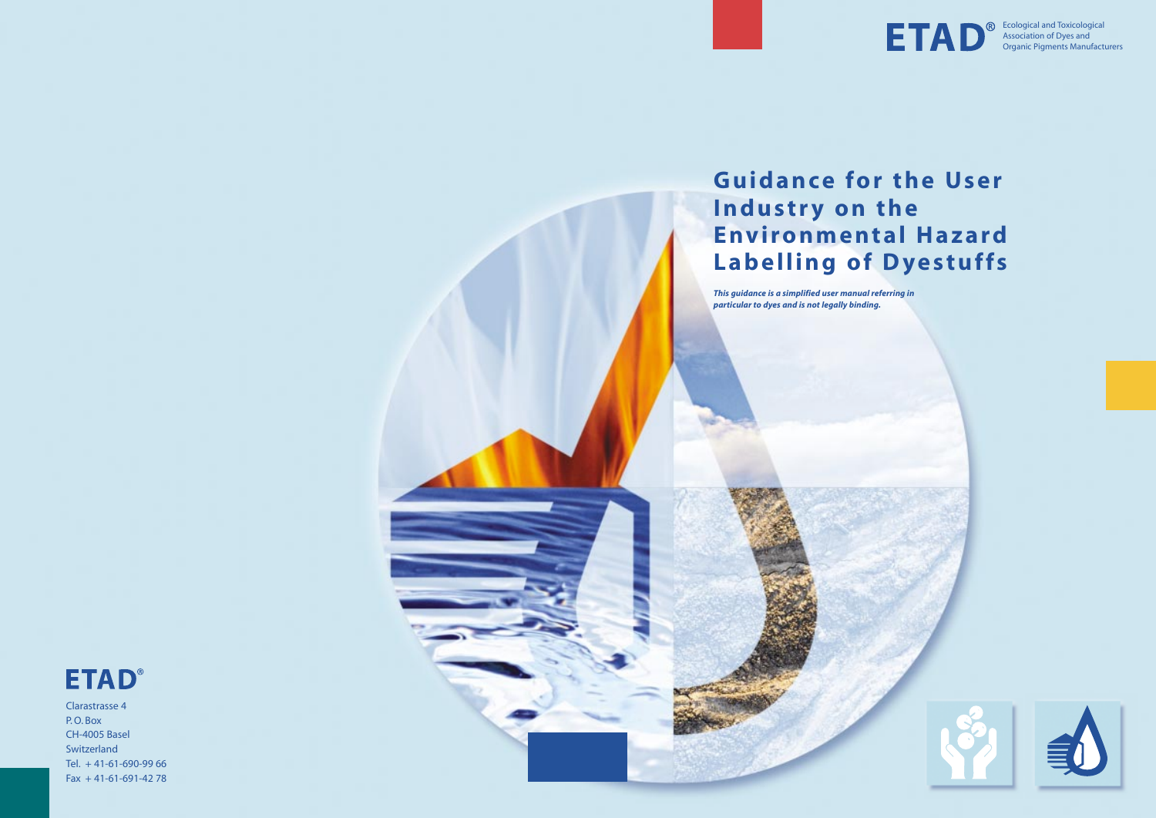Clarastrasse 4 P. O. Box CH-4005 Basel Switzerland Tel. + 41-61-690-99 66 Fax + 41-61-691-42 78



# **Guidance for the User Industry on the Environmental Hazard Labelling of Dyestuffs**

*This guidance is a simplified user manual referring in particular to dyes and is not legally binding.*



Ecological and Toxicological Association of Dyes and Organic Pigments Manufacturers



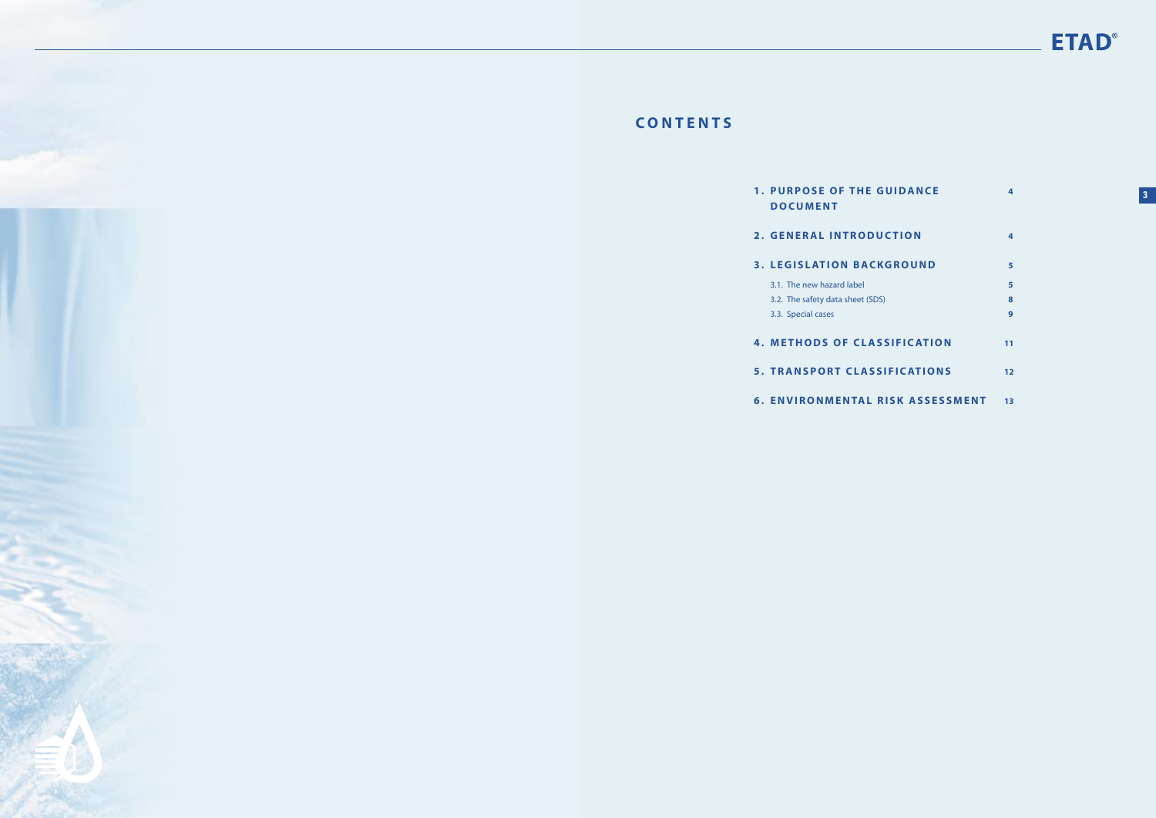## **CONTENTS**

|            | <b>1. PURPOSE OF THE GUIDANCE</b><br><b>DOCUMENT</b> | 4   | 3 |
|------------|------------------------------------------------------|-----|---|
|            | 2. GENERAL INTRODUCTION                              | 4   |   |
|            | <b>3. LEGISLATION BACKGROUND</b>                     | 5   |   |
|            | 3.1. The new hazard label                            | 5   |   |
|            | 3.2. The safety data sheet (SDS)                     | 8   |   |
|            | 3.3. Special cases                                   | 9   |   |
|            | <b>4. METHODS OF CLASSIFICATION</b>                  | 11  |   |
|            | <b>5. TRANSPORT CLASSIFICATIONS</b>                  | 12  |   |
| $\epsilon$ | <b>FAIVIDONIMENTAL DICK ACCECCALENT</b>              | $-$ |   |

- **DOCUMENT 2. GENERAL INTROD 3.** LEGISLATION BAC 3.1. The new hazard label **5** 3.2. The safety data sheet (SD 3.3. Special cases **9 4.** METHODS OF CLA
	- **5. TRANSPORT CLAS**
	- **6. ENVIRONMENTAL RISK ASSESSMENT 13**

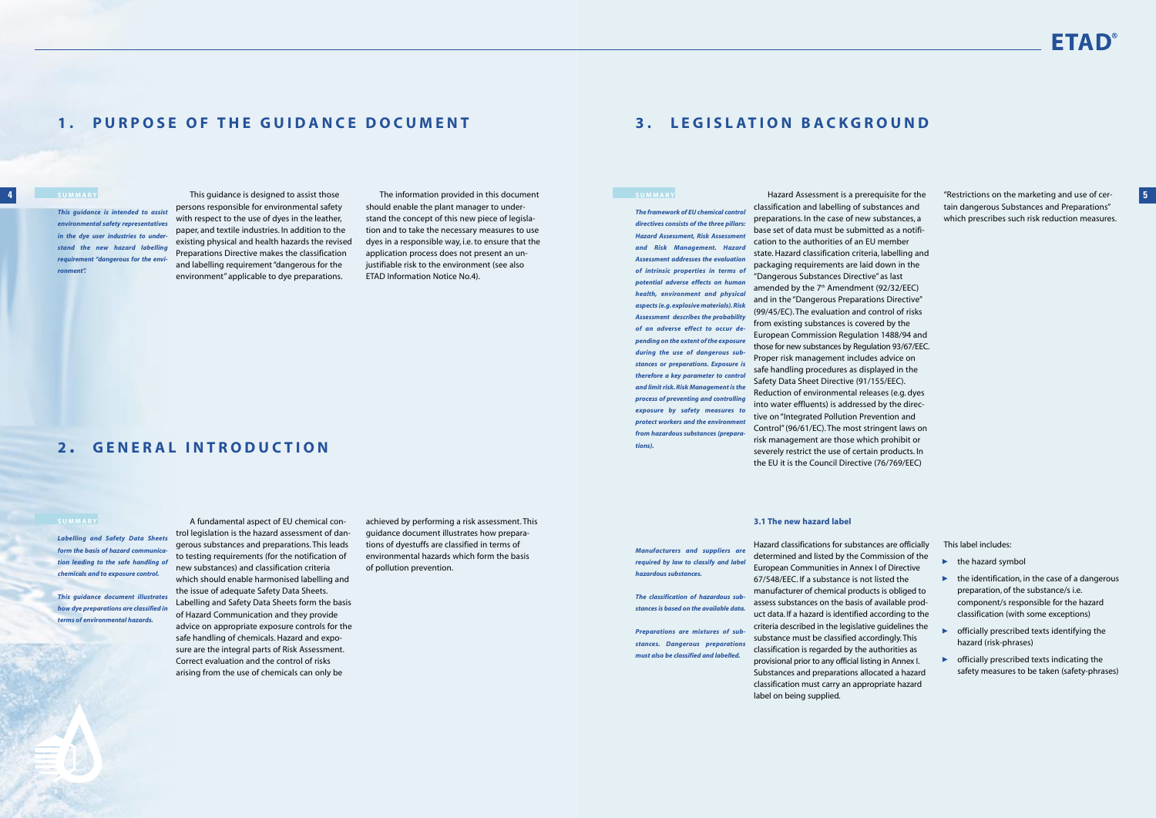**4**

## **3. LEGISLATION BACKGROUND**

### **SUMMARY**

Hazard Assessment is a prerequisite for the classification and labelling of substances and preparations. In the case of new substances, <sup>a</sup> base set of data must be submitted as a notification to the authorities of an EU member state. Hazard classification criteria, labelling and packaging requirements are laid down in the "Dangerous Substances Directive" as last amended by the  $7<sup>th</sup>$  Amendment (92/32/EEC) and in the "Dangerous Preparations Directive" (99/45/EC). The evaluation and control of risks from existing substances is covered by the European Commission Regulation 1488/94 and those for new substances by Regulation 93/67/EEC. Proper risk management includes advice on safe handling procedures as displayed in the Safety Data Sheet Directive (91/155/EEC). Reduction of environmental releases (e.g. dyes into water effluents) is addressed by the directive on "Integrated Pollution Prevention and Control" (96/61/EC). The most stringent laws on risk management are those which prohibit or severely restrict the use of certain products. In the EU it is the Council Directive (76/769/EEC)

- ▶ the hazard symbol
- $\blacktriangleright$  the identification, in the case of a dangerous preparation, of the substance/s i.e. component/s responsible for the hazard classification (with some exceptions)
- **•** officially prescribed texts identifying the hazard (risk-phrases) ▲▲
- $\triangleright$  officially prescribed texts indicating the safety measures to be taken (safety-phrases)

"Restrictions on the marketing and use of certain dangerous Substances and Preparations" which prescribes such risk reduction measures.

### **3.1 The new hazard label**

Hazard classifications for substances are officially determined and listed by the Commission of the European Communities in Annex I of Directive 67/548/EEC. If a substance is not listed the manufacturer of chemical products is obliged to assess substances on the basis of available product data. If a hazard is identified according to the criteria described in the legislative guidelines the substance must be classified accordingly. This classification is regarded by the authorities as provisional prior to any official listing in Annex I. Substances and preparations allocated a hazard classification must carry an appropriate hazard



label on being supplied.

This label includes:

## **1. PURPOSE OF THE GUIDANCE DOCUMENT**

This guidance is designed to assist those persons responsible for environmental safety with respect to the use of dyes in the leather, paper, and textile industries. In addition to the existing physical and health hazards the revised Preparations Directive makes the classification and labelling requirement "dangerous for the environment" applicable to dye preparations.

The information provided in this document should enable the plant manager to understand the concept of this new piece of legislation and to take the necessary measures to use dyes in a responsible way, i.e. to ensure that the application process does not present an unjustifiable risk to the environment (see also ETAD Information Notice No.4).

### **SUMMARY**

*Labelling and Safety Data Sheets form the basis of hazard communication leading to the safe handling of chemicals and to exposure control.*

*This guidance document illustrates how dye preparations are classified in terms of environmental hazards.*

A fundamental aspect of EU chemical control legislation is the hazard assessment of dangerous substances and preparations. This leads to testing requirements (for the notification of new substances) and classification criteria which should enable harmonised labelling and the issue of adequate Safety Data Sheets. Labelling and Safety Data Sheets form the basis of Hazard Communication and they provide advice on appropriate exposure controls for the safe handling of chemicals. Hazard and exposure are the integral parts of Risk Assessment. Correct evaluation and the control of risks arising from the use of chemicals can only be

achieved by performing a risk assessment. This guidance document illustrates how preparations of dyestuffs are classified in terms of environmental hazards which form the basis of pollution prevention.

### **2 . GENERAL INTRODUCTION**

### **SUMMARY**

*This guidance is intended to assist environmental safety representatives in the dye user industries to understand the new hazard labelling requirement "dangerous for the environment".*

*The framework of EU chemical control directives consists of the three pillars: Hazard Assessment, Risk Assessment and Risk Management. Hazard Assessment addresses the evaluation of intrinsic properties in terms of potential adverse effects on human health, environment and physical aspects (e.g. explosive materials). Risk Assessment describes the probability of an adverse effect to occur depending on the extent of the exposure during the use of dangerous substances or preparations. Exposure is therefore a key parameter to control and limit risk. Risk Management is the process of preventing and controlling exposure by safety measures to protect workers and the environment from hazardous substances (preparations).*

*Manufacturers and suppliers are required by law to classify and label hazardous substances.*

*The classification of hazardous substances is based on the available data.*

*Preparations are mixtures of substances. Dangerous preparations must also be classified and labelled.*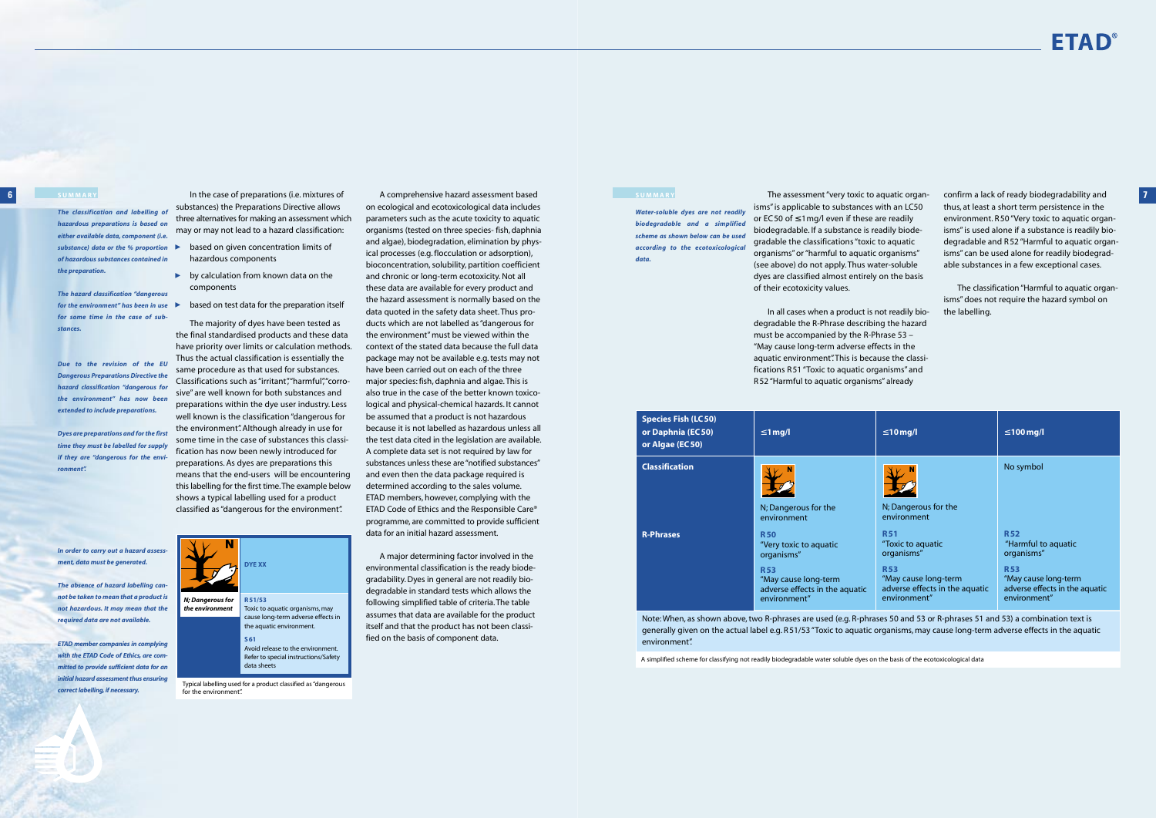*Water-soluble dyes are not readily biodegradable and a simplifie scheme as shown below can be used according to the ecotoxicological data.*

In the case of preparations (i.e. mixtures of substances) the Preparations Directive allows three alternatives for making an assessment which may or may not lead to a hazard classification:

- $\blacktriangleright$ based on given concentration limits of ▲▲▲ hazardous components
- $\blacktriangleright$  by calculation from known data on the components
- based on test data for the preparation itself

The majority of dyes have been tested as the final standardised products and these data have priority over limits or calculation methods. Thus the actual classification is essentially the same procedure as that used for substances. Classifications such as "irritant","harmful","corrosive" are well known for both substances and preparations within the dye user industry. Less well known is the classification "dangerous for the environment". Although already in use for some time in the case of substances this classification has now been newly introduced for preparations. As dyes are preparations this means that the end-users will be encountering this labelling for the first time.The example below shows a typical labelling used for a product classified as "dangerous for the environment".

A comprehensive hazard assessment based on ecological and ecotoxicological data includes parameters such as the acute toxicity to aquatic organisms (tested on three species- fish, daphnia and algae), biodegradation, elimination by physical processes (e.g. flocculation or adsorption), bioconcentration, solubility, partition coefficient and chronic or long-term ecotoxicity. Not all these data are available for every product and the hazard assessment is normally based on the data quoted in the safety data sheet. Thus products which are not labelled as "dangerous for the environment" must be viewed within the context of the stated data because the full data package may not be available e.g. tests may not have been carried out on each of the three major species: fish, daphnia and algae. This is also true in the case of the better known toxicological and physical-chemical hazards. It cannot be assumed that a product is not hazardous because it is not labelled as hazardous unless all the test data cited in the legislation are available. A complete data set is not required by law for substances unless these are "notified substances" and even then the data package required is determined according to the sales volume. ETAD members, however, complying with the ETAD Code of Ethics and the Responsible Care® programme, are committed to provide sufficient data for an initial hazard assessment.

with the ETAD Code of Ethics, are com*mitted to provide sufficient data for an initial hazard assessment thus ensuring correct labelling, if necessary.*

**SUMMARY 7** confirm a lack of ready biodegradability and thus, at least a short term persistence in the environment. R 50 "Very toxic to aquatic organisms" is used alone if a substance is readily biodegradable and R 52 "Harmful to aquatic organisms" can be used alone for readily biodegradable substances in a few exceptional cases.

A major determining factor involved in the environmental classification is the ready biodegradability. Dyes in general are not readily biodegradable in standard tests which allows the following simplified table of criteria. The table assumes that data are available for the product itself and that the product has not been classified on the basis of component data.





Avoid release to the environment. Refer to special instructions/Safety data sheets

Typical labelling used for a product classified as "dangerous for the environment".

### **SUMMARY**

*The classification and labelling of hazardous preparations is based on either available data, component (i.e. substance) data or the % proportion of hazardous substances contained in the preparation.*

*The hazard classification "dangerous for the environment" has been in use for some time in the case of substances.*

**R 51/53** the aquatic environment. **S61** *N; Dangerous for the environment* **DYE XX** *not be taken to mean that a product is not hazardous. It may mean that the ETAD member companies in complying*

*Due to the revision of the EU Dangerous Preparations Directive the hazard classification "dangerous for the environment" has now been extended to include preparations.*

*Dyes are preparations and for the first time they must be labelled for supply if they are "dangerous for the environment".*

*In order to carry out a hazard assessment, data must be generated.*

*The absence of hazard labelling can-*

*required data are not available.*

The assessment "very toxic to aquatic organisms" is applicable to substances with an LC50 or EC50 of  $\leq 1$  mg/l even if these are readily biodegradable. If a substance is readily biodegradable the classifications "toxic to aquatic organisms" or "harmful to aquatic organisms" (see above) do not apply. Thus water-soluble dyes are classified almost entirely on the basis of their ecotoxicity values.

In all cases when a product is not readily biodegradable the R-Phrase describing the hazard must be accompanied by the R-Phrase 53 – "May cause long-term adverse effects in the aquatic environment". This is because the classifications R 51 "Toxic to aquatic organisms" and R 52 "Harmful to aquatic organisms" already

The classification "Harmful to aquatic organisms" does not require the hazard symbol on the labelling.

A simplified scheme for classifying not readily biodegradable water soluble dyes on the basis of the ecotoxicological data

| <b>Species Fish (LC 50)</b><br>or Daphnia (EC50)<br>or Algae (EC 50) | $\leq 1$ mg/l                                                                                                                              | $\leq 10$ mg/l                                                                                                                        | $\leq 100$ mg/l                                                                                                                         |
|----------------------------------------------------------------------|--------------------------------------------------------------------------------------------------------------------------------------------|---------------------------------------------------------------------------------------------------------------------------------------|-----------------------------------------------------------------------------------------------------------------------------------------|
| <b>Classification</b>                                                | N; Dangerous for the<br>environment                                                                                                        | N; Dangerous for the<br>environment                                                                                                   | No symbol                                                                                                                               |
| <b>R-Phrases</b>                                                     | <b>R50</b><br>"Very toxic to aquatic<br>organisms"<br><b>R53</b><br>"May cause long-term<br>adverse effects in the aquatic<br>environment" | <b>R51</b><br>"Toxic to aquatic<br>organisms"<br><b>R53</b><br>"May cause long-term<br>adverse effects in the aquatic<br>environment" | <b>R52</b><br>"Harmful to aquatic<br>organisms"<br><b>R53</b><br>"May cause long-term<br>adverse effects in the aquatic<br>environment" |

Note: When, as shown above, two R-phrases are used (e.g. R-phrases 50 and 53 or R-phrases 51 and 53) a combination text is generally given on the actual label e.g. R51/53 "Toxic to aquatic organisms, may cause long-term adverse effects in the aquatic environment".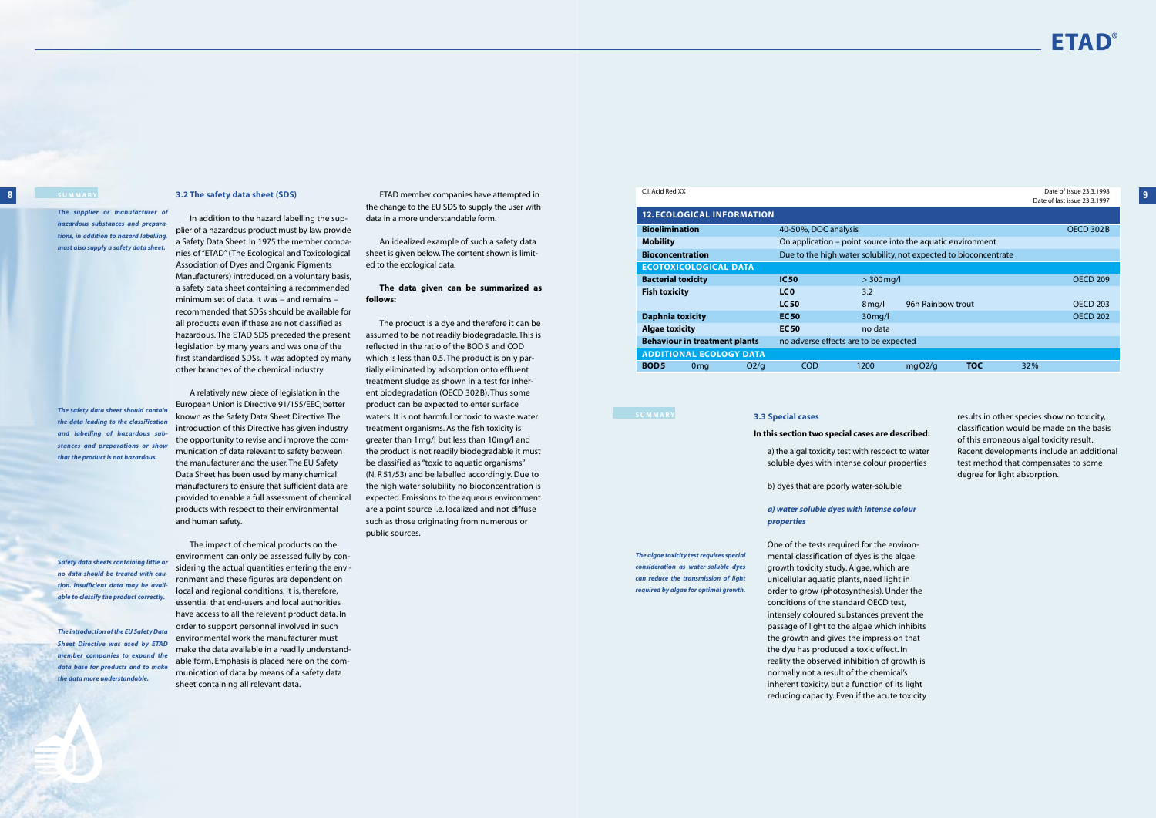In addition to the hazard labelling the sup-

plier of a hazardous product must by law provide a Safety Data Sheet. In 1975 the member companies of "ETAD" (The Ecological and Toxicological Association of Dyes and Organic Pigments Manufacturers) introduced, on a voluntary basis, a safety data sheet containing a recommended minimum set of data. It was – and remains – recommended that SDSs should be available for all products even if these are not classified as hazardous. The ETAD SDS preceded the present legislation by many years and was one of the first standardised SDSs. It was adopted by many other branches of the chemical industry.

A relatively new piece of legislation in the European Union is Directive 91/155/EEC; better known as the Safety Data Sheet Directive. The introduction of this Directive has given industry the opportunity to revise and improve the communication of data relevant to safety between the manufacturer and the user. The EU Safety Data Sheet has been used by many chemical manufacturers to ensure that sufficient data are provided to enable a full assessment of chemical products with respect to their environmental and human safety.

**3.2 The safety data sheet (SDS) 9** ETAD member companies have attempted in the change to the EU SDS to supply the user with data in a more understandable form.

The impact of chemical products on the environment can only be assessed fully by considering the actual quantities entering the environment and these figures are dependent on local and regional conditions. It is, therefore, essential that end-users and local authorities have access to all the relevant product data. In order to support personnel involved in such environmental work the manufacturer must make the data available in a readily understandable form. Emphasis is placed here on the communication of data by means of a safety data sheet containing all relevant data.

An idealized example of such a safety data sheet is given below.The content shown is limited to the ecological data.

### **The data given can be summarized as follows:**

C.I. Acid Red XX Date of issue 23.3.1998 Date of last issue 22.2.1997

The product is a dye and therefore it can be assumed to be not readily biodegradable. This is reflected in the ratio of the BOD5 and COD which is less than 0.5. The product is only partially eliminated by adsorption onto effluent treatment sludge as shown in a test for inherent biodegradation (OECD 302 B). Thus some product can be expected to enter surface waters. It is not harmful or toxic to waste water treatment organisms. As the fish toxicity is greater than 1mg/l but less than 10mg/l and the product is not readily biodegradable it must be classified as "toxic to aquatic organisms" (N, R 51/53) and be labelled accordingly. Due to the high water solubility no bioconcentration is expected. Emissions to the aqueous environment are a point source i.e. localized and not diffuse such as those originating from numerous or public sources.

### **8 SUMMARY**

*The supplier or manufacturer of hazardous substances and preparations, in addition to hazard labelling, must also supply a safety data sheet.*

*The safety data sheet should contain the data leading to the classification and labelling of hazardous substances and preparations or show that the product is not hazardous.*

*Safety data sheets containing little or no data should be treated with caution. Insufficient data may be available to classify the product correctly.*

*The introduction of the EU Safety Data Sheet Directive was used by ETAD member companies to expand the data base for products and to make the data more understandable.*

| <b>12. ECOLOGICAL INFORMATION</b>                   |                                                                  |                                                            |                   |            |           |                 |
|-----------------------------------------------------|------------------------------------------------------------------|------------------------------------------------------------|-------------------|------------|-----------|-----------------|
| <b>Bioelimination</b>                               | 40-50%, DOC analysis                                             |                                                            |                   |            | OECD 302B |                 |
| <b>Mobility</b>                                     |                                                                  | On application – point source into the aquatic environment |                   |            |           |                 |
| <b>Bioconcentration</b>                             | Due to the high water solubility, not expected to bioconcentrate |                                                            |                   |            |           |                 |
| <b>ECOTOXICOLOGICAL DATA</b>                        |                                                                  |                                                            |                   |            |           |                 |
| <b>Bacterial toxicity</b>                           | IC <sub>50</sub>                                                 | $>$ 300 mg/l                                               |                   |            |           | <b>OECD 209</b> |
| <b>Fish toxicity</b>                                | LC <sub>0</sub>                                                  | 3.2                                                        |                   |            |           |                 |
|                                                     | <b>LC50</b>                                                      | $8 \,\mathrm{mq/l}$                                        | 96h Rainbow trout |            |           | <b>OECD 203</b> |
| <b>Daphnia toxicity</b>                             | <b>EC50</b>                                                      | $30$ mg/l                                                  |                   |            |           | <b>OECD 202</b> |
| <b>Algae toxicity</b>                               | <b>EC50</b>                                                      | no data                                                    |                   |            |           |                 |
| <b>Behaviour in treatment plants</b>                | no adverse effects are to be expected                            |                                                            |                   |            |           |                 |
| <b>ADDITIONAL ECOLOGY DATA</b>                      |                                                                  |                                                            |                   |            |           |                 |
| <b>BOD5</b><br>O <sub>2</sub> /q<br>0 <sub>mq</sub> | <b>COD</b>                                                       | 1200                                                       | mqO2/q            | <b>TOC</b> | 32%       |                 |

### **SUMMARY**

### **3.3 Special cases**

### **In this section two special cases are described:**

a) the algal toxicity test with respect to water soluble dyes with intense colour properties

b) dyes that are poorly water-soluble

### *a) water soluble dyes with intense colour properties*

One of the tests required for the environmental classification of dyes is the algae growth toxicity study. Algae, which are unicellular aquatic plants, need light in order to grow (photosynthesis). Under the conditions of the standard OECD test, intensely coloured substances prevent the passage of light to the algae which inhibits the growth and gives the impression that the dye has produced a toxic effect. In reality the observed inhibition of growth is normally not a result of the chemical's inherent toxicity, but a function of its light reducing capacity. Even if the acute toxicity



results in other species show no toxicity, classification would be made on the basis of this erroneous algal toxicity result. Recent developments include an additional test method that compensates to some degree for light absorption.

*The algae toxicity test requires special required by algae for optimal growth.*

*consideration as water-soluble dyes can reduce the transmission of light*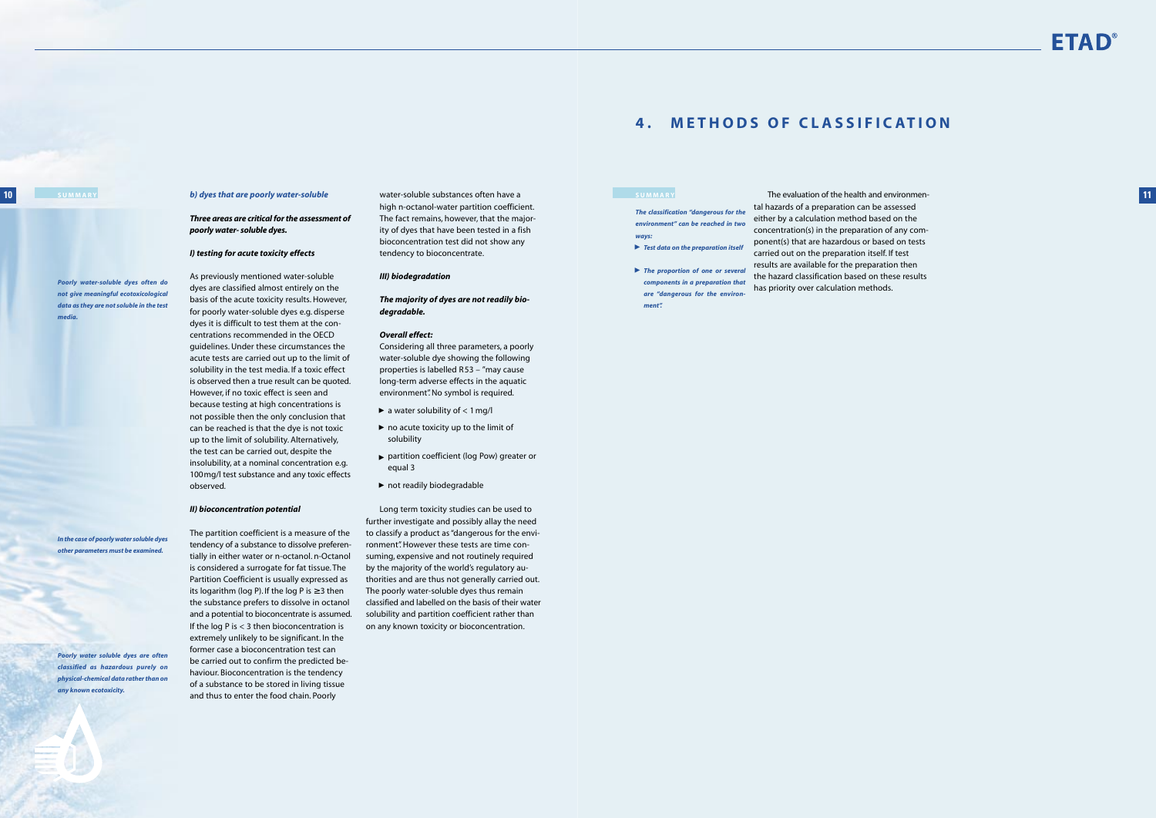## **4 . METHODS OF CLASSIFICATION**

The evaluation of the health and environmen-**SUMMARY 11** tal hazards of a preparation can be assessed either by a calculation method based on the concentration(s) in the preparation of any component(s) that are hazardous or based on tests carried out on the preparation itself. If test results are available for the preparation then the hazard classification based on these results has priority over calculation methods.



*The classification "dangerous for the environment" can be reached in two ways:*

- *Test data on the preparation itself* ▲
- **The proportion of one or several** *components in a preparation that are "dangerous for the environment".*

*b) dyes that are poorly water-soluble*

### *Three areas are critical for the assessment of poorly water- soluble dyes.*

### *I) testing for acute toxicity effects*

As previously mentioned water-soluble dyes are classified almost entirely on the basis of the acute toxicity results. However, for poorly water-soluble dyes e.g. disperse dyes it is difficult to test them at the concentrations recommended in the OECD guidelines. Under these circumstances the acute tests are carried out up to the limit of solubility in the test media. If a toxic effect is observed then a true result can be quoted. However, if no toxic effect is seen and because testing at high concentrations is not possible then the only conclusion that can be reached is that the dye is not toxic up to the limit of solubility. Alternatively, the test can be carried out, despite the insolubility, at a nominal concentration e.g. 100mg/l test substance and any toxic effects observed.

### *II) bioconcentration potential*

The partition coefficient is a measure of the tendency of a substance to dissolve preferentially in either water or n-octanol. n-Octanol is considered a surrogate for fat tissue. The Partition Coefficient is usually expressed as its logarithm (log P). If the log P is  $\geq$  3 then the substance prefers to dissolve in octanol and a potential to bioconcentrate is assumed. If the log P is < 3 then bioconcentration is extremely unlikely to be significant. In the former case a bioconcentration test can be carried out to confirm the predicted behaviour. Bioconcentration is the tendency of a substance to be stored in living tissue and thus to enter the food chain. Poorly

water-soluble substances often have a high n-octanol-water partition coefficient. The fact remains, however, that the majority of dyes that have been tested in a fish bioconcentration test did not show any tendency to bioconcentrate.

### *III) biodegradation*

*The majority of dyes are not readily biodegradable.*

### *Overall effect:*

Considering all three parameters, a poorly water-soluble dye showing the following properties is labelled R 53 – "may cause long-term adverse effects in the aquatic environment". No symbol is required.

- $\blacktriangleright$  a water solubility of  $<$  1 mg/l
- $\blacktriangleright$  no acute toxicity up to the limit of solubility
- partition coefficient (log Pow) greater or equal 3 ▲▲ ▲
- ▶ not readily biodegradable

Long term toxicity studies can be used to further investigate and possibly allay the need to classify a product as "dangerous for the environment". However these tests are time consuming, expensive and not routinely required by the majority of the world's regulatory authorities and are thus not generally carried out. The poorly water-soluble dyes thus remain classified and labelled on the basis of their water solubility and partition coefficient rather than on any known toxicity or bioconcentration.

### **10 SUMMARY**

*Poorly water-soluble dyes often do not give meaningful ecotoxicological data as they are not soluble in the test*

*media.*

*In the case of poorly water soluble dyes other parameters must be examined.*

*Poorly water soluble dyes are often classified as hazardous purely on physical-chemical data rather than on any known ecotoxicity.*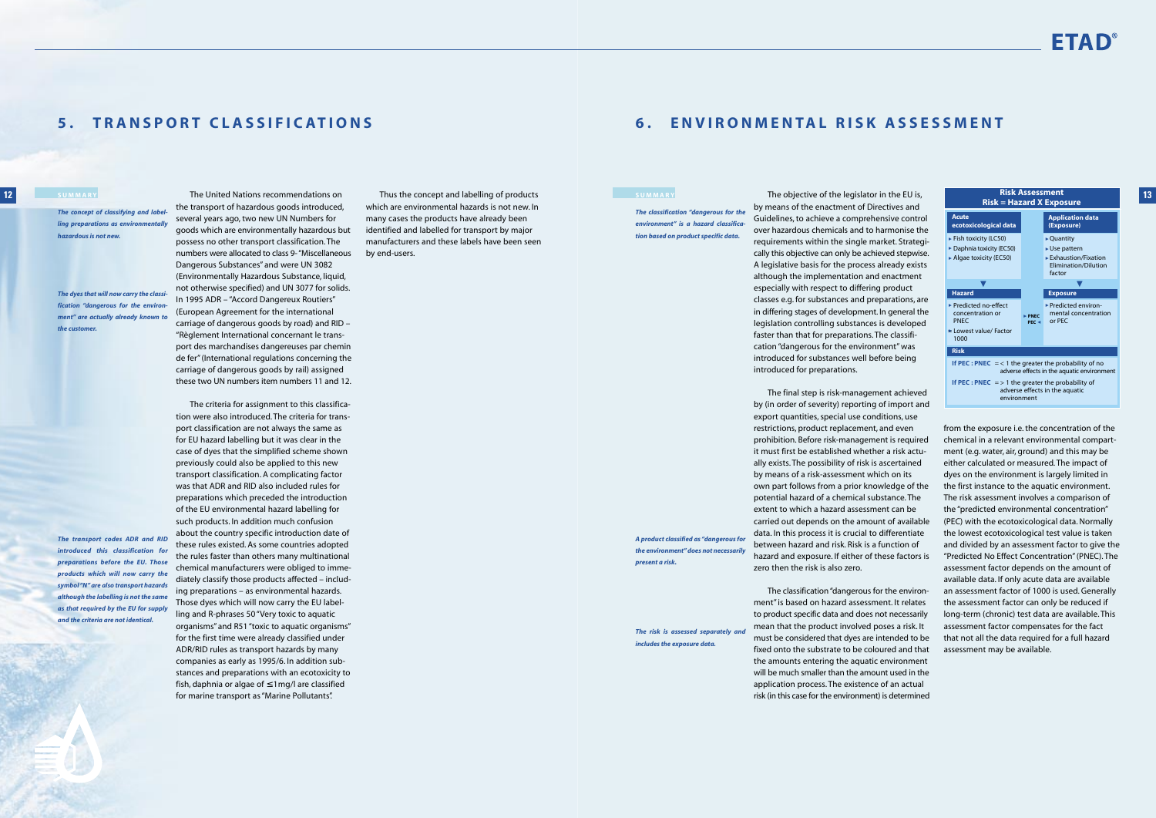## **6. ENVIRONMENTAL RISK ASSESSMENT**

by means of the enactment of Directives and Guidelines, to achieve a comprehensive control over hazardous chemicals and to harmonise the requirements within the single market. Strategically this objective can only be achieved stepwise. A legislative basis for the process already exists although the implementation and enactment especially with respect to differing product classes e.g. for substances and preparations, are in differing stages of development. In general the legislation controlling substances is developed faster than that for preparations. The classification "dangerous for the environment" was introduced for substances well before being introduced for preparations.

The final step is risk-management achieved by (in order of severity) reporting of import and export quantities, special use conditions, use restrictions, product replacement, and even prohibition. Before risk-management is required it must first be established whether a risk actually exists. The possibility of risk is ascertained by means of a risk-assessment which on its own part follows from a prior knowledge of the potential hazard of a chemical substance. The extent to which a hazard assessment can be carried out depends on the amount of available data. In this process it is crucial to differentiate between hazard and risk. Risk is a function of hazard and exposure. If either of these factors is zero then the risk is also zero.

The classification "dangerous for the environment" is based on hazard assessment. It relates to product specific data and does not necessarily mean that the product involved poses a risk. It must be considered that dyes are intended to be fixed onto the substrate to be coloured and that the amounts entering the aquatic environment will be much smaller than the amount used in the application process. The existence of an actual risk (in this case for the environment) is determined

from the exposure i.e. the concentration of the chemical in a relevant environmental compartment (e.g. water, air, ground) and this may be either calculated or measured. The impact of dyes on the environment is largely limited in the first instance to the aquatic environment. The risk assessment involves a comparison of the "predicted environmental concentration" (PEC) with the ecotoxicological data. Normally the lowest ecotoxicological test value is taken and divided by an assessment factor to give the "Predicted No Effect Concentration" (PNEC). The assessment factor depends on the amount of available data. If only acute data are available an assessment factor of 1000 is used. Generally the assessment factor can only be reduced if long-term (chronic) test data are available. This assessment factor compensates for the fact that not all the data required for a full hazard assessment may be available.

*The classification "dangerous for the environment" is a hazard classification based on product specific data.*

*A product classified as "dangerous for the environment" does not necessarily present a risk.*

*The risk is assessed separately and includes the exposure data.*

# FTAD

## **5 . TRANSPORT CLASSIFICATIONS**

The United Nations recommendations on



the transport of hazardous goods introduced, several years ago, two new UN Numbers for goods which are environmentally hazardous but possess no other transport classification. The numbers were allocated to class 9- "Miscellaneous Dangerous Substances" and were UN 3082 (Environmentally Hazardous Substance, liquid, not otherwise specified) and UN 3077 for solids. In 1995 ADR – "Accord Dangereux Routiers" (European Agreement for the international carriage of dangerous goods by road) and RID – "Règlement International concernant le transport des marchandises dangereuses par chemin de fer" (International regulations concerning the carriage of dangerous goods by rail) assigned these two UN numbers item numbers 11 and 12.

The criteria for assignment to this classification were also introduced. The criteria for transport classification are not always the same as for EU hazard labelling but it was clear in the case of dyes that the simplified scheme shown previously could also be applied to this new transport classification. A complicating factor was that ADR and RID also included rules for preparations which preceded the introduction of the EU environmental hazard labelling for such products. In addition much confusion about the country specific introduction date of these rules existed. As some countries adopted the rules faster than others many multinational chemical manufacturers were obliged to immediately classify those products affected – including preparations – as environmental hazards. Those dyes which will now carry the EU labelling and R-phrases 50 "Very toxic to aquatic organisms" and R51 "toxic to aquatic organisms" for the first time were already classified under ADR/RID rules as transport hazards by many companies as early as 1995/6. In addition substances and preparations with an ecotoxicity to

fish, daphnia or algae of <sup>≤</sup> 1mg/l are classified for marine transport as "Marine Pollutants".

Thus the concept and labelling of products which are environmental hazards is not new. In many cases the products have already been identified and labelled for transport by major manufacturers and these labels have been seen by end-users.

### **12 SUMMARY**

*The concept of classifying and labelling preparations as environmentally hazardous is not new.*

*The dyes that will now carry the classification "dangerous for the environment" are actually already known to the customer.*

*The transport codes ADR and RID introduced this classification for preparations before the EU. Those products which will now carry the symbol "N" are also transport hazards although the labelling is not the same as that required by the EU for supply and the criteria are not identical.*